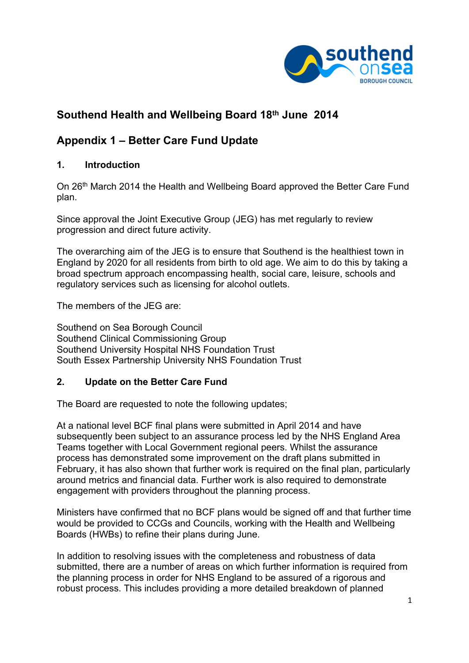

# **Southend Health and Wellbeing Board 18th June 2014**

## **Appendix 1 – Better Care Fund Update**

## **1. Introduction**

On 26th March 2014 the Health and Wellbeing Board approved the Better Care Fund plan.

Since approval the Joint Executive Group (JEG) has met regularly to review progression and direct future activity.

The overarching aim of the JEG is to ensure that Southend is the healthiest town in England by 2020 for all residents from birth to old age. We aim to do this by taking a broad spectrum approach encompassing health, social care, leisure, schools and regulatory services such as licensing for alcohol outlets.

The members of the JEG are:

Southend on Sea Borough Council Southend Clinical Commissioning Group Southend University Hospital NHS Foundation Trust South Essex Partnership University NHS Foundation Trust

## **2. Update on the Better Care Fund**

The Board are requested to note the following updates;

At a national level BCF final plans were submitted in April 2014 and have subsequently been subject to an assurance process led by the NHS England Area Teams together with Local Government regional peers. Whilst the assurance process has demonstrated some improvement on the draft plans submitted in February, it has also shown that further work is required on the final plan, particularly around metrics and financial data. Further work is also required to demonstrate engagement with providers throughout the planning process.

Ministers have confirmed that no BCF plans would be signed off and that further time would be provided to CCGs and Councils, working with the Health and Wellbeing Boards (HWBs) to refine their plans during June.

In addition to resolving issues with the completeness and robustness of data submitted, there are a number of areas on which further information is required from the planning process in order for NHS England to be assured of a rigorous and robust process. This includes providing a more detailed breakdown of planned